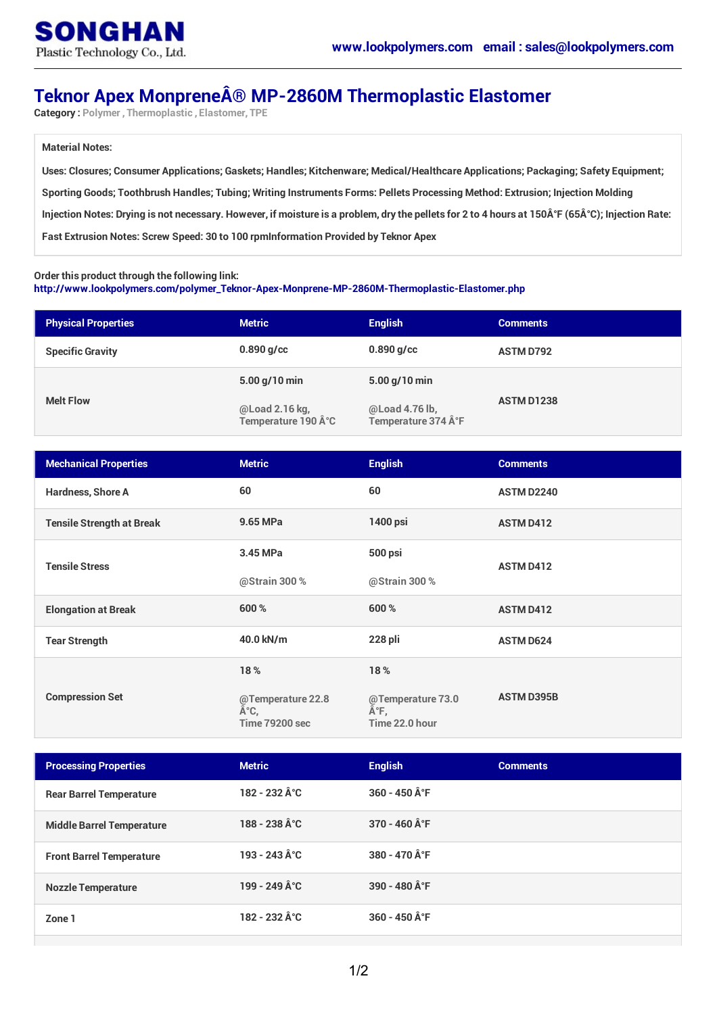## **Teknor Apex Monprene® MP-2860M Thermoplastic Elastomer**

**Category : Polymer , Thermoplastic , Elastomer, TPE**

#### **Material Notes:**

**Uses: Closures; Consumer Applications; Gaskets; Handles; Kitchenware; Medical/Healthcare Applications; Packaging; Safety Equipment; Sporting Goods; Toothbrush Handles; Tubing; Writing Instruments Forms: Pellets Processing Method: Extrusion; Injection Molding** Injection Notes: Drying is not necessary. However, if moisture is a problem, dry the pellets for 2 to 4 hours at 150°F (65°C); Injection Rate: **Fast Extrusion Notes: Screw Speed: 30 to 100 rpmInformation Provided by Teknor Apex**

#### **Order this product through the following link:**

**[http://www.lookpolymers.com/polymer\\_Teknor-Apex-Monprene-MP-2860M-Thermoplastic-Elastomer.php](http://www.lookpolymers.com/polymer_Teknor-Apex-Monprene-MP-2860M-Thermoplastic-Elastomer.php)**

| <b>Physical Properties</b> | <b>Metric</b>                        | <b>English</b>                       | <b>Comments</b>   |
|----------------------------|--------------------------------------|--------------------------------------|-------------------|
| <b>Specific Gravity</b>    | $0.890$ g/cc                         | $0.890$ g/cc                         | <b>ASTM D792</b>  |
| <b>Melt Flow</b>           | $5.00$ g/10 min                      | $5.00$ g/10 min                      | <b>ASTM D1238</b> |
|                            | @Load 2.16 kg,<br>Temperature 190 °C | @Load 4.76 lb,<br>Temperature 374 °F |                   |

| <b>Mechanical Properties</b>     | <b>Metric</b>                                     | <b>English</b>                             | <b>Comments</b>   |
|----------------------------------|---------------------------------------------------|--------------------------------------------|-------------------|
| Hardness, Shore A                | 60                                                | 60                                         | <b>ASTM D2240</b> |
| <b>Tensile Strength at Break</b> | 9.65 MPa                                          | 1400 psi                                   | <b>ASTM D412</b>  |
| <b>Tensile Stress</b>            | 3.45 MPa                                          | 500 psi                                    | <b>ASTM D412</b>  |
|                                  | @Strain 300 %                                     | @Strain 300 %                              |                   |
| <b>Elongation at Break</b>       | 600 %                                             | 600 %                                      | <b>ASTM D412</b>  |
| <b>Tear Strength</b>             | 40.0 kN/m                                         | 228 pli                                    | <b>ASTM D624</b>  |
| <b>Compression Set</b>           | 18%                                               | 18%                                        |                   |
|                                  | @Temperature 22.8<br>°C,<br><b>Time 79200 sec</b> | @Temperature 73.0<br>°F,<br>Time 22.0 hour | <b>ASTM D395B</b> |

| <b>Processing Properties</b>     | <b>Metric</b>                            | <b>English</b> | <b>Comments</b> |
|----------------------------------|------------------------------------------|----------------|-----------------|
| <b>Rear Barrel Temperature</b>   | $182 - 232 \,\text{\AA}^{\circ}\text{C}$ | 360 - 450 °F   |                 |
| <b>Middle Barrel Temperature</b> | 188 - 238 °C                             | 370 - 460 °F   |                 |
| <b>Front Barrel Temperature</b>  | 193 - 243 °C                             | 380 - 470 °F   |                 |
| <b>Nozzle Temperature</b>        | 199 - 249 °C                             | 390 - 480 °F   |                 |
| Zone 1                           | $182 - 232 \,\text{\AA}^{\circ}\text{C}$ | 360 - 450 °F   |                 |